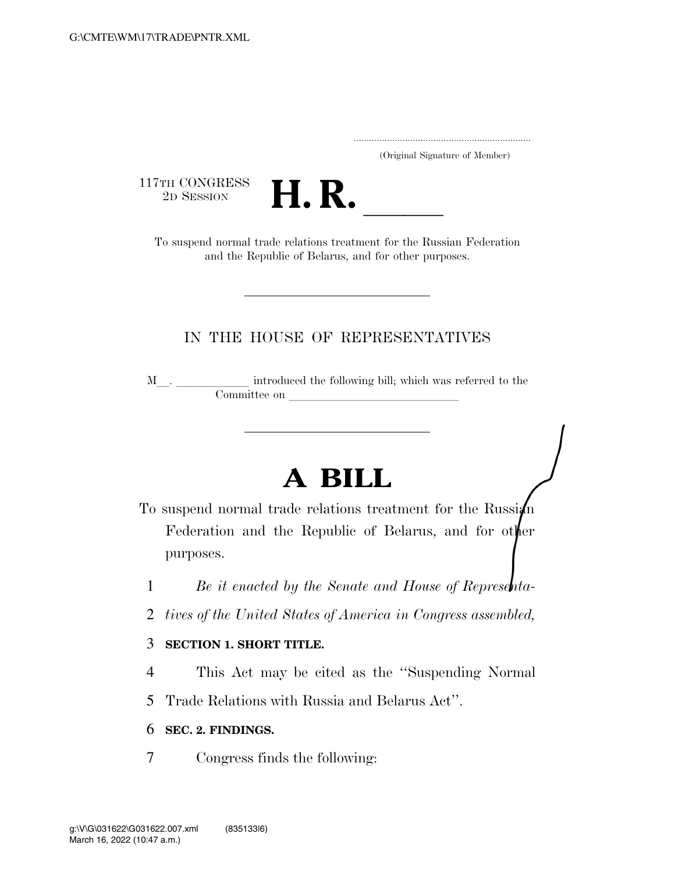..................................................................... (Original Signature of Member)

117TH CONGRESS<br>2D SESSION



TTH CONGRESS<br>
2D SESSION<br>
To suspend normal trade relations treatment for the Russian Federation and the Republic of Belarus, and for other purposes.

## IN THE HOUSE OF REPRESENTATIVES

<sup>M</sup>l. llllll introduced the following bill; which was referred to the Committee on

# **A BILL**

To suspend normal trade relations treatment for the Russi $\ln$ Federation and the Republic of Belarus, and for other purposes.

- 1 *Be it enacted by the Senate and House of Representa-*
- 2 *tives of the United States of America in Congress assembled,*

### 3 **SECTION 1. SHORT TITLE.**

- 4 This Act may be cited as the ''Suspending Normal
- 5 Trade Relations with Russia and Belarus Act''.

### 6 **SEC. 2. FINDINGS.**

7 Congress finds the following: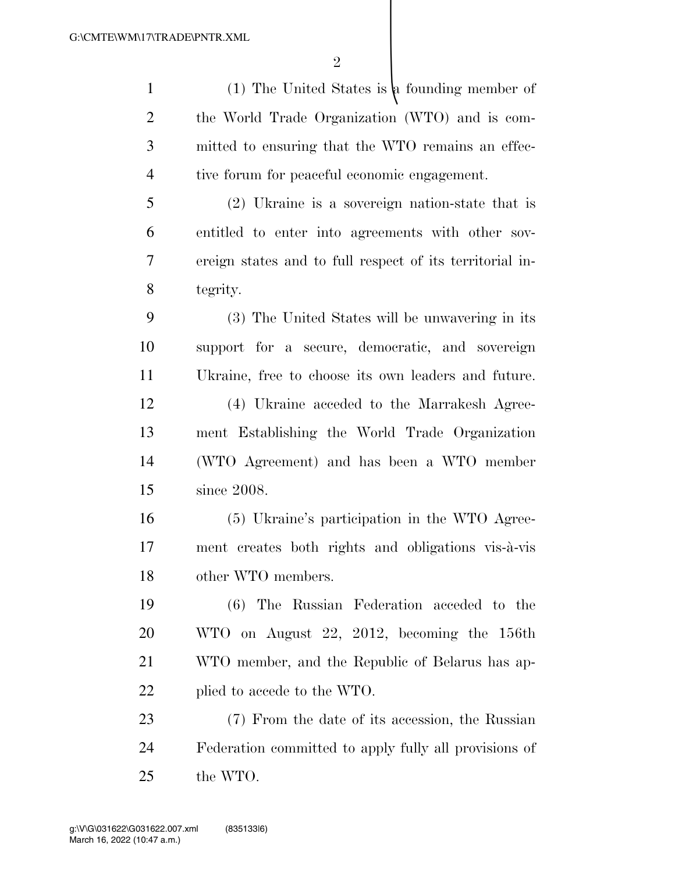1 (1) The United States is a founding member of the World Trade Organization (WTO) and is com- mitted to ensuring that the WTO remains an effec-tive forum for peaceful economic engagement.

 (2) Ukraine is a sovereign nation-state that is entitled to enter into agreements with other sov- ereign states and to full respect of its territorial in-tegrity.

 (3) The United States will be unwavering in its support for a secure, democratic, and sovereign Ukraine, free to choose its own leaders and future. (4) Ukraine acceded to the Marrakesh Agree- ment Establishing the World Trade Organization (WTO Agreement) and has been a WTO member since 2008.

 (5) Ukraine's participation in the WTO Agree- ment creates both rights and obligations vis-a`-vis other WTO members.

 (6) The Russian Federation acceded to the WTO on August 22, 2012, becoming the 156th WTO member, and the Republic of Belarus has ap-22 plied to accede to the WTO.

 (7) From the date of its accession, the Russian Federation committed to apply fully all provisions of the WTO.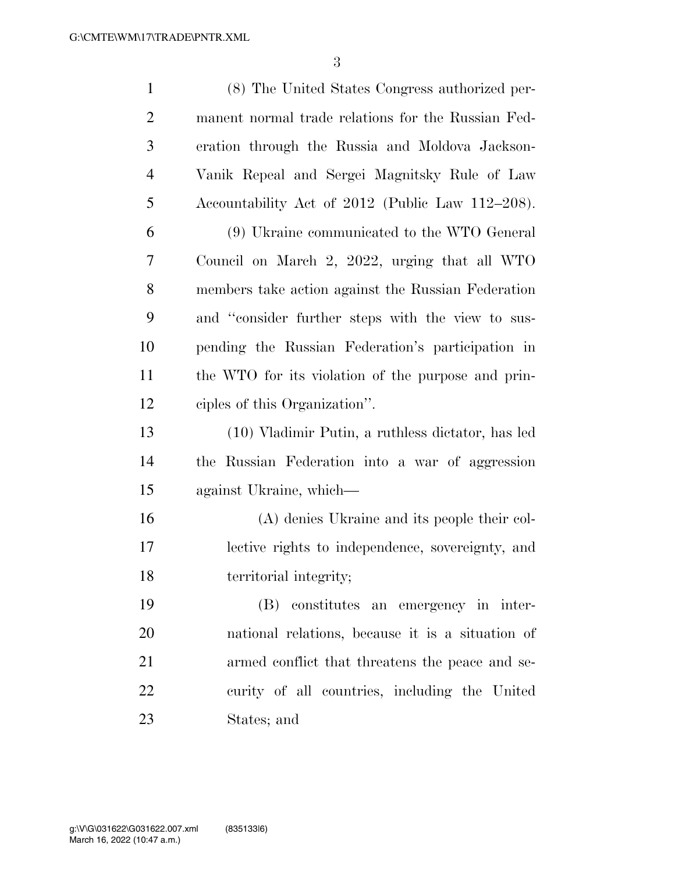| $\mathbf{1}$   | (8) The United States Congress authorized per-     |
|----------------|----------------------------------------------------|
| $\overline{2}$ | manent normal trade relations for the Russian Fed- |
| $\mathfrak{Z}$ | eration through the Russia and Moldova Jackson-    |
| $\overline{4}$ | Vanik Repeal and Sergei Magnitsky Rule of Law      |
| 5              | Accountability Act of 2012 (Public Law 112–208).   |
| 6              | (9) Ukraine communicated to the WTO General        |
| 7              | Council on March 2, 2022, urging that all WTO      |
| 8              | members take action against the Russian Federation |
| 9              | and "consider further steps with the view to sus-  |
| 10             | pending the Russian Federation's participation in  |
| 11             | the WTO for its violation of the purpose and prin- |
| 12             | ciples of this Organization".                      |
| 13             | (10) Vladimir Putin, a ruthless dictator, has led  |
| 14             | the Russian Federation into a war of aggression    |
| 15             | against Ukraine, which-                            |
| 16             | (A) denies Ukraine and its people their col-       |
| 17             | lective rights to independence, sovereignty, and   |
| 18             | territorial integrity;                             |
| 19             | (B) constitutes an emergency in inter-             |
| 20             | national relations, because it is a situation of   |
| 21             | armed conflict that threatens the peace and se-    |
| 22             | curity of all countries, including the United      |
| 23             | States; and                                        |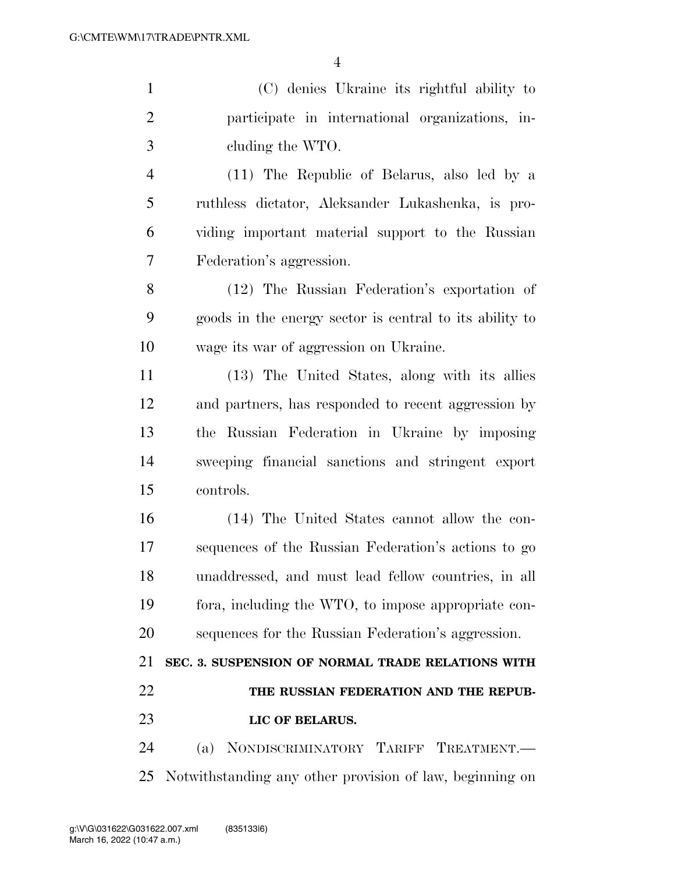(C) denies Ukraine its rightful ability to participate in international organizations, in-cluding the WTO.

 (11) The Republic of Belarus, also led by a ruthless dictator, Aleksander Lukashenka, is pro- viding important material support to the Russian Federation's aggression.

 (12) The Russian Federation's exportation of goods in the energy sector is central to its ability to wage its war of aggression on Ukraine.

 (13) The United States, along with its allies and partners, has responded to recent aggression by the Russian Federation in Ukraine by imposing sweeping financial sanctions and stringent export controls.

 (14) The United States cannot allow the con- sequences of the Russian Federation's actions to go unaddressed, and must lead fellow countries, in all fora, including the WTO, to impose appropriate con-sequences for the Russian Federation's aggression.

 **SEC. 3. SUSPENSION OF NORMAL TRADE RELATIONS WITH THE RUSSIAN FEDERATION AND THE REPUB-LIC OF BELARUS.** 

 (a) NONDISCRIMINATORY TARIFF TREATMENT.— Notwithstanding any other provision of law, beginning on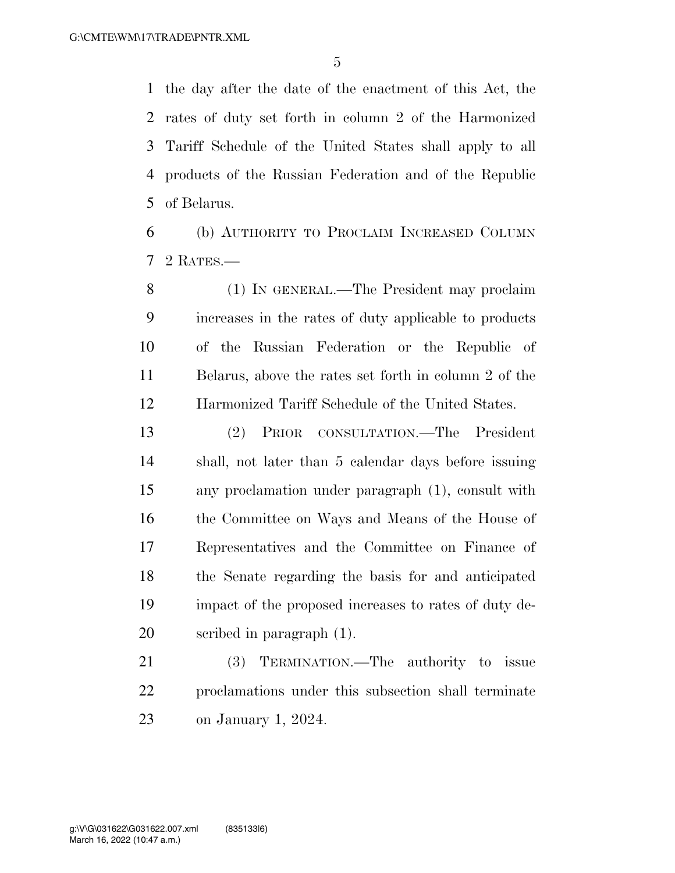the day after the date of the enactment of this Act, the rates of duty set forth in column 2 of the Harmonized Tariff Schedule of the United States shall apply to all products of the Russian Federation and of the Republic of Belarus.

 (b) AUTHORITY TO PROCLAIM INCREASED COLUMN 2 RATES.—

 (1) IN GENERAL.—The President may proclaim increases in the rates of duty applicable to products of the Russian Federation or the Republic of Belarus, above the rates set forth in column 2 of the Harmonized Tariff Schedule of the United States.

 (2) PRIOR CONSULTATION.—The President shall, not later than 5 calendar days before issuing any proclamation under paragraph (1), consult with 16 the Committee on Ways and Means of the House of Representatives and the Committee on Finance of the Senate regarding the basis for and anticipated impact of the proposed increases to rates of duty de-scribed in paragraph (1).

 (3) TERMINATION.—The authority to issue proclamations under this subsection shall terminate on January 1, 2024.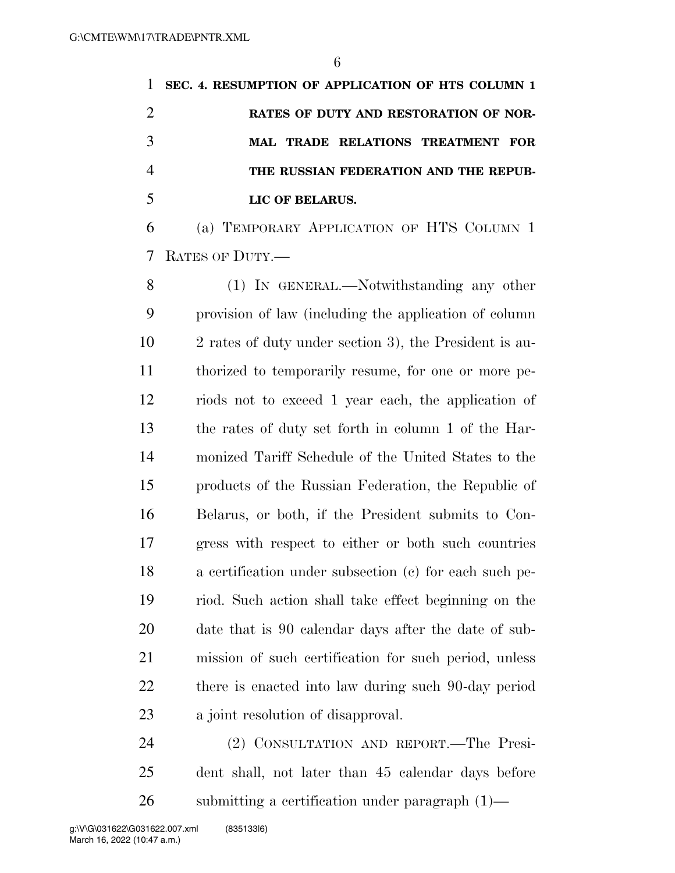**SEC. 4. RESUMPTION OF APPLICATION OF HTS COLUMN 1 RATES OF DUTY AND RESTORATION OF NOR- MAL TRADE RELATIONS TREATMENT FOR THE RUSSIAN FEDERATION AND THE REPUB-LIC OF BELARUS.** 

 (a) TEMPORARY APPLICATION OF HTS COLUMN 1 RATES OF DUTY.—

 (1) IN GENERAL.—Notwithstanding any other provision of law (including the application of column 2 rates of duty under section 3), the President is au- thorized to temporarily resume, for one or more pe- riods not to exceed 1 year each, the application of the rates of duty set forth in column 1 of the Har- monized Tariff Schedule of the United States to the products of the Russian Federation, the Republic of Belarus, or both, if the President submits to Con- gress with respect to either or both such countries a certification under subsection (c) for each such pe- riod. Such action shall take effect beginning on the date that is 90 calendar days after the date of sub- mission of such certification for such period, unless there is enacted into law during such 90-day period a joint resolution of disapproval.

 (2) CONSULTATION AND REPORT.—The Presi- dent shall, not later than 45 calendar days before submitting a certification under paragraph (1)—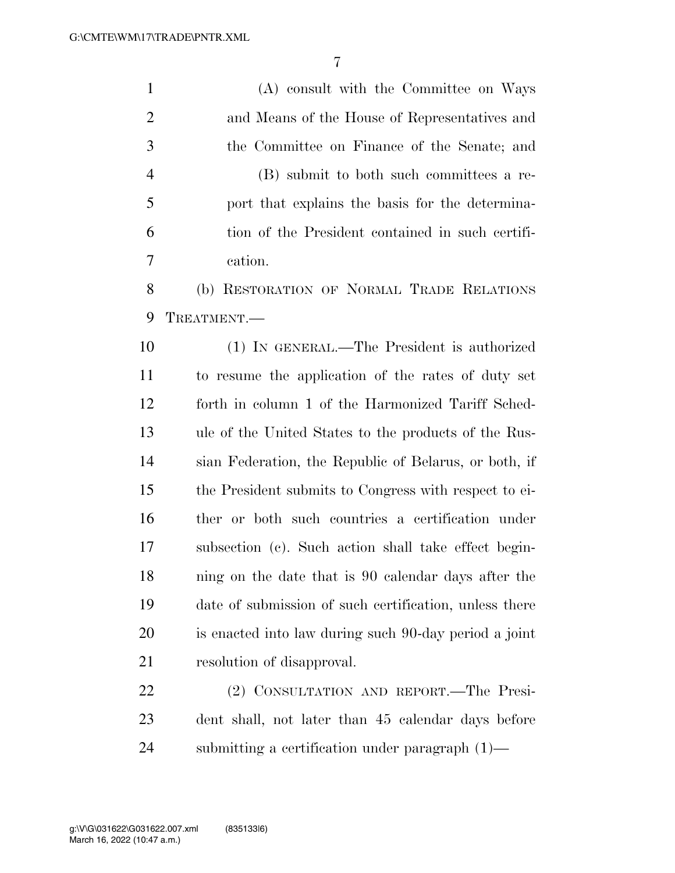(A) consult with the Committee on Ways and Means of the House of Representatives and the Committee on Finance of the Senate; and (B) submit to both such committees a re- port that explains the basis for the determina- tion of the President contained in such certifi- cation. (b) RESTORATION OF NORMAL TRADE RELATIONS TREATMENT.— (1) IN GENERAL.—The President is authorized to resume the application of the rates of duty set forth in column 1 of the Harmonized Tariff Sched- ule of the United States to the products of the Rus- sian Federation, the Republic of Belarus, or both, if the President submits to Congress with respect to ei- ther or both such countries a certification under subsection (c). Such action shall take effect begin- ning on the date that is 90 calendar days after the date of submission of such certification, unless there is enacted into law during such 90-day period a joint resolution of disapproval. (2) CONSULTATION AND REPORT.—The Presi-dent shall, not later than 45 calendar days before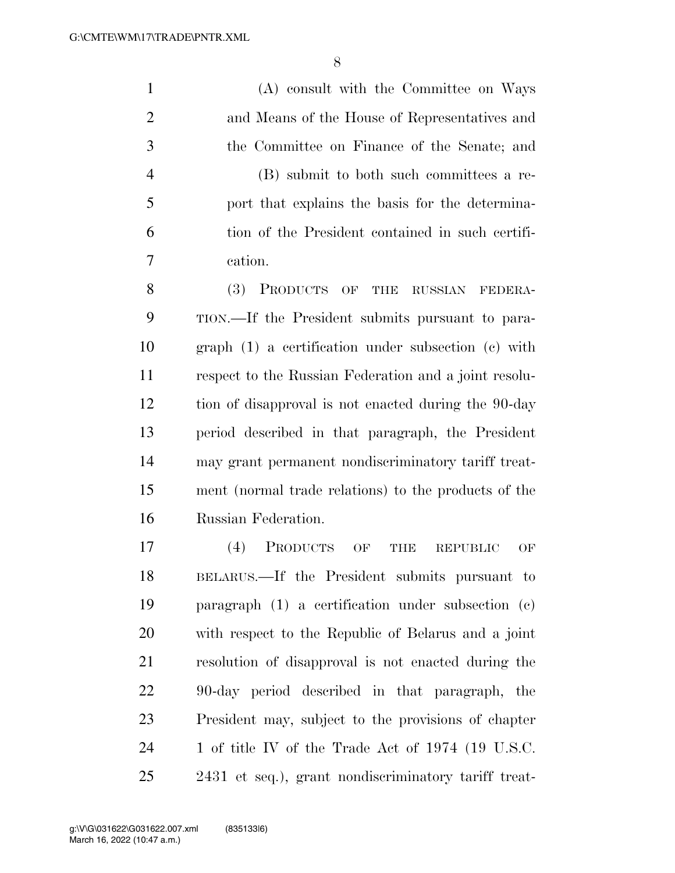(A) consult with the Committee on Ways and Means of the House of Representatives and the Committee on Finance of the Senate; and (B) submit to both such committees a re- port that explains the basis for the determina- tion of the President contained in such certifi- cation. (3) PRODUCTS OF THE RUSSIAN FEDERA- TION.—If the President submits pursuant to para- graph (1) a certification under subsection (c) with respect to the Russian Federation and a joint resolu- tion of disapproval is not enacted during the 90-day period described in that paragraph, the President may grant permanent nondiscriminatory tariff treat- ment (normal trade relations) to the products of the Russian Federation. (4) PRODUCTS OF THE REPUBLIC OF BELARUS.—If the President submits pursuant to paragraph (1) a certification under subsection (c) with respect to the Republic of Belarus and a joint resolution of disapproval is not enacted during the 90-day period described in that paragraph, the President may, subject to the provisions of chapter

24 1 of title IV of the Trade Act of 1974 (19 U.S.C. 2431 et seq.), grant nondiscriminatory tariff treat-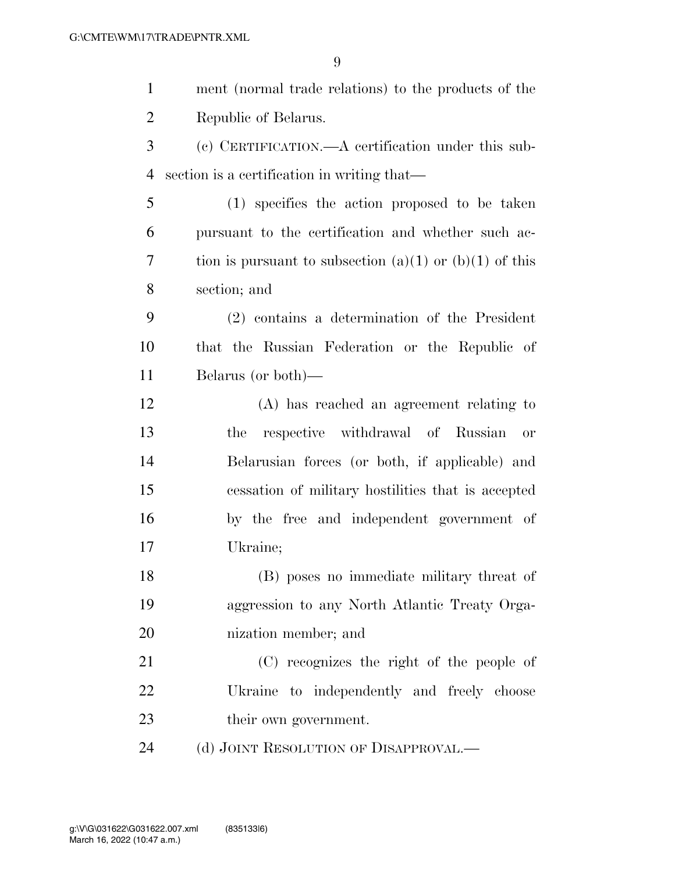| $\mathbf{1}$   | ment (normal trade relations) to the products of the    |
|----------------|---------------------------------------------------------|
| $\overline{2}$ | Republic of Belarus.                                    |
| 3              | (c) CERTIFICATION.—A certification under this sub-      |
| 4              | section is a certification in writing that—             |
| 5              | (1) specifies the action proposed to be taken           |
| 6              | pursuant to the certification and whether such ac-      |
| 7              | tion is pursuant to subsection (a)(1) or (b)(1) of this |
| 8              | section; and                                            |
| 9              | (2) contains a determination of the President           |
| 10             | that the Russian Federation or the Republic of          |
| 11             | Belarus (or both)—                                      |
| 12             | (A) has reached an agreement relating to                |
| 13             | respective withdrawal of Russian<br>the<br>or           |
| 14             | Belarusian forces (or both, if applicable) and          |
| 15             | cessation of military hostilities that is accepted      |
| 16             | by the free and independent government of               |
| 17             | Ukraine;                                                |
| 18             | (B) poses no immediate military threat of               |
| 19             | aggression to any North Atlantic Treaty Orga-           |
| 20             | nization member; and                                    |
| 21             | (C) recognizes the right of the people of               |
| 22             | Ukraine to independently and freely choose              |
| 23             | their own government.                                   |
| 24             | (d) JOINT RESOLUTION OF DISAPPROVAL.—                   |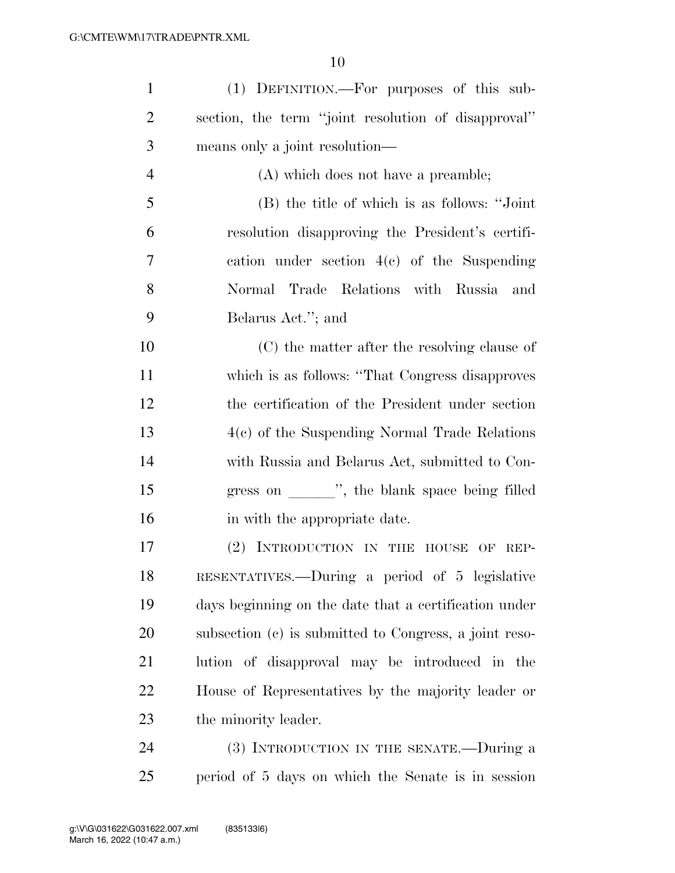| $\mathbf{1}$   | (1) DEFINITION.—For purposes of this sub-              |
|----------------|--------------------------------------------------------|
| $\overline{c}$ | section, the term "joint resolution of disapproval"    |
| 3              | means only a joint resolution-                         |
| $\overline{4}$ | (A) which does not have a preamble;                    |
| 5              | (B) the title of which is as follows: "Joint"          |
| 6              | resolution disapproving the President's certifi-       |
| $\tau$         | cation under section $4(e)$ of the Suspending          |
| 8              | Normal Trade Relations with Russia<br>and              |
| 9              | Belarus Act."; and                                     |
| 10             | (C) the matter after the resolving clause of           |
| 11             | which is as follows: "That Congress disapproves"       |
| 12             | the certification of the President under section       |
| 13             | $4(c)$ of the Suspending Normal Trade Relations        |
| 14             | with Russia and Belarus Act, submitted to Con-         |
| 15             | gress on _______", the blank space being filled        |
| 16             | in with the appropriate date.                          |
| 17             | (2) INTRODUCTION IN THE HOUSE OF REP-                  |
| 18             | RESENTATIVES.—During a period of 5 legislative         |
| 19             | days beginning on the date that a certification under  |
| 20             | subsection (c) is submitted to Congress, a joint reso- |
| 21             | lution of disapproval may be introduced in the         |
| 22             | House of Representatives by the majority leader or     |
| 23             | the minority leader.                                   |
| 24             | (3) INTRODUCTION IN THE SENATE.--During a              |
| 25             | period of 5 days on which the Senate is in session     |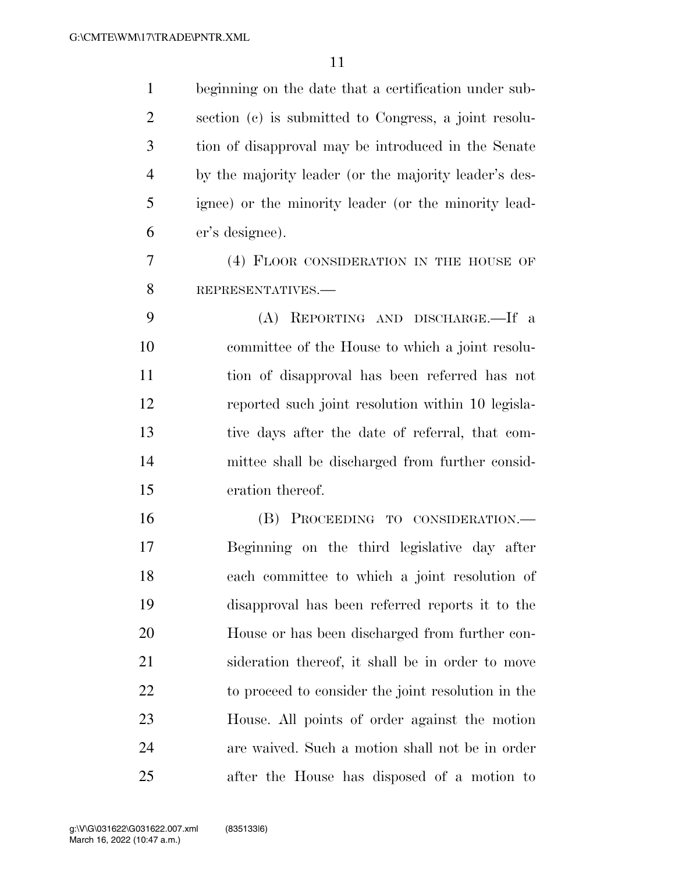| $\mathbf{1}$   | beginning on the date that a certification under sub- |
|----------------|-------------------------------------------------------|
| $\overline{2}$ | section (c) is submitted to Congress, a joint resolu- |
| 3              | tion of disapproval may be introduced in the Senate   |
| $\overline{4}$ | by the majority leader (or the majority leader's des- |
| 5              | ignee) or the minority leader (or the minority lead-  |
| 6              | er's designee).                                       |
| 7              | (4) FLOOR CONSIDERATION IN THE HOUSE OF               |
| 8              | REPRESENTATIVES.-                                     |
| 9              | REPORTING AND DISCHARGE.-If a<br>(A)                  |
| 10             | committee of the House to which a joint resolu-       |
| 11             | tion of disapproval has been referred has not         |
| 12             | reported such joint resolution within 10 legisla-     |
| 13             | tive days after the date of referral, that com-       |
| 14             | mittee shall be discharged from further consid-       |
| 15             | eration thereof.                                      |
| 16             | (B) PROCEEDING TO CONSIDERATION.—                     |
| 17             | Beginning on the third legislative day after          |
| 18             | each committee to which a joint resolution of         |
| 19             | disapproval has been referred reports it to the       |
| 20             | House or has been discharged from further con-        |
| 21             | sideration thereof, it shall be in order to move      |
| 22             | to proceed to consider the joint resolution in the    |
| 23             | House. All points of order against the motion         |
| 24             | are waived. Such a motion shall not be in order       |
| 25             | after the House has disposed of a motion to           |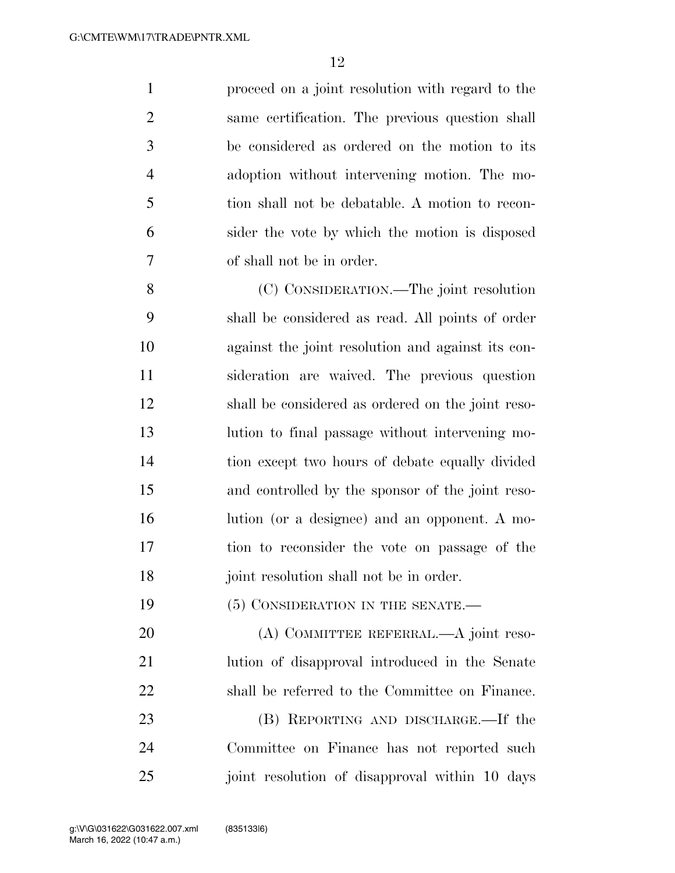proceed on a joint resolution with regard to the same certification. The previous question shall be considered as ordered on the motion to its adoption without intervening motion. The mo- tion shall not be debatable. A motion to recon- sider the vote by which the motion is disposed of shall not be in order.

 (C) CONSIDERATION.—The joint resolution shall be considered as read. All points of order against the joint resolution and against its con- sideration are waived. The previous question shall be considered as ordered on the joint reso- lution to final passage without intervening mo- tion except two hours of debate equally divided and controlled by the sponsor of the joint reso- lution (or a designee) and an opponent. A mo- tion to reconsider the vote on passage of the joint resolution shall not be in order.

19 (5) CONSIDERATION IN THE SENATE.

20 (A) COMMITTEE REFERRAL.—A joint reso- lution of disapproval introduced in the Senate shall be referred to the Committee on Finance.

23 (B) REPORTING AND DISCHARGE.—If the Committee on Finance has not reported such joint resolution of disapproval within 10 days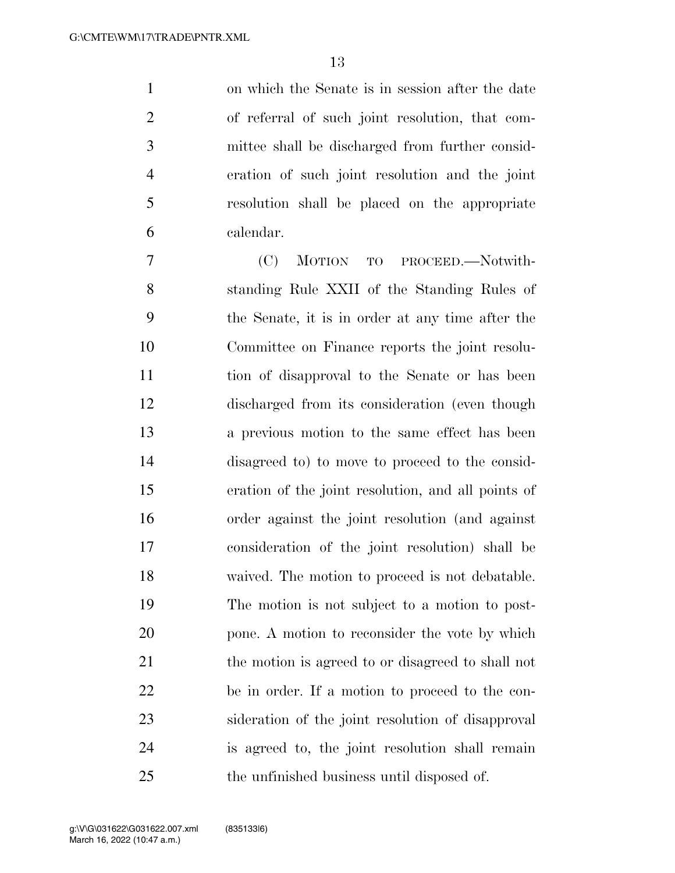on which the Senate is in session after the date of referral of such joint resolution, that com- mittee shall be discharged from further consid- eration of such joint resolution and the joint resolution shall be placed on the appropriate calendar.

 (C) MOTION TO PROCEED.—Notwith- standing Rule XXII of the Standing Rules of the Senate, it is in order at any time after the Committee on Finance reports the joint resolu- tion of disapproval to the Senate or has been discharged from its consideration (even though a previous motion to the same effect has been disagreed to) to move to proceed to the consid- eration of the joint resolution, and all points of order against the joint resolution (and against consideration of the joint resolution) shall be waived. The motion to proceed is not debatable. The motion is not subject to a motion to post- pone. A motion to reconsider the vote by which the motion is agreed to or disagreed to shall not be in order. If a motion to proceed to the con- sideration of the joint resolution of disapproval is agreed to, the joint resolution shall remain the unfinished business until disposed of.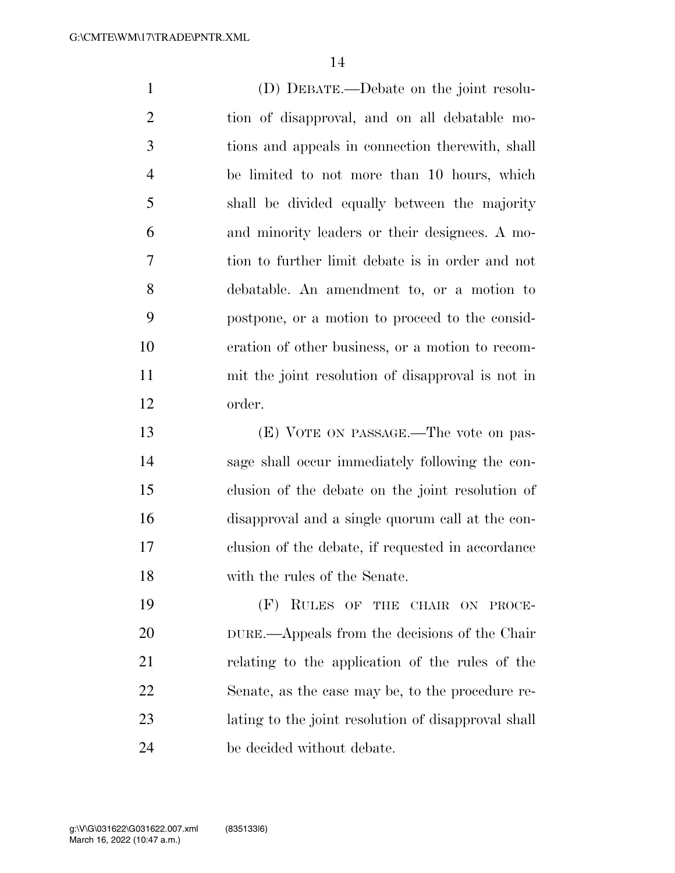(D) DEBATE.—Debate on the joint resolu- tion of disapproval, and on all debatable mo- tions and appeals in connection therewith, shall be limited to not more than 10 hours, which shall be divided equally between the majority and minority leaders or their designees. A mo- tion to further limit debate is in order and not debatable. An amendment to, or a motion to postpone, or a motion to proceed to the consid- eration of other business, or a motion to recom- mit the joint resolution of disapproval is not in order. (E) VOTE ON PASSAGE.—The vote on pas- sage shall occur immediately following the con- clusion of the debate on the joint resolution of disapproval and a single quorum call at the con- clusion of the debate, if requested in accordance with the rules of the Senate.

 (F) RULES OF THE CHAIR ON PROCE- DURE.—Appeals from the decisions of the Chair relating to the application of the rules of the Senate, as the case may be, to the procedure re- lating to the joint resolution of disapproval shall be decided without debate.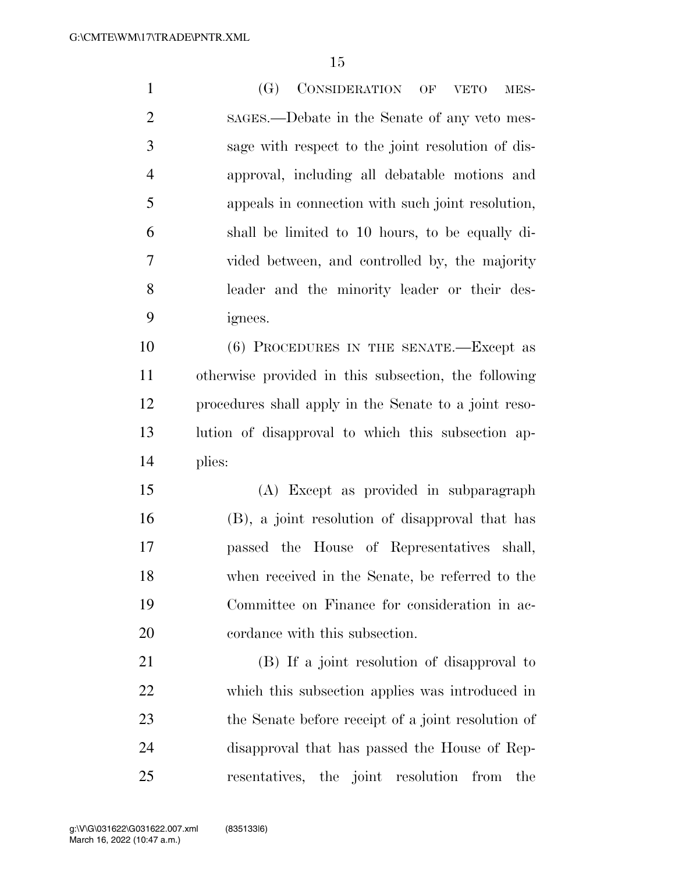(G) CONSIDERATION OF VETO MES- SAGES.—Debate in the Senate of any veto mes- sage with respect to the joint resolution of dis- approval, including all debatable motions and appeals in connection with such joint resolution, shall be limited to 10 hours, to be equally di- vided between, and controlled by, the majority leader and the minority leader or their des- ignees. (6) PROCEDURES IN THE SENATE.—Except as otherwise provided in this subsection, the following procedures shall apply in the Senate to a joint reso- lution of disapproval to which this subsection ap- plies: (A) Except as provided in subparagraph

 (B), a joint resolution of disapproval that has passed the House of Representatives shall, when received in the Senate, be referred to the Committee on Finance for consideration in ac-cordance with this subsection.

 (B) If a joint resolution of disapproval to which this subsection applies was introduced in the Senate before receipt of a joint resolution of disapproval that has passed the House of Rep-resentatives, the joint resolution from the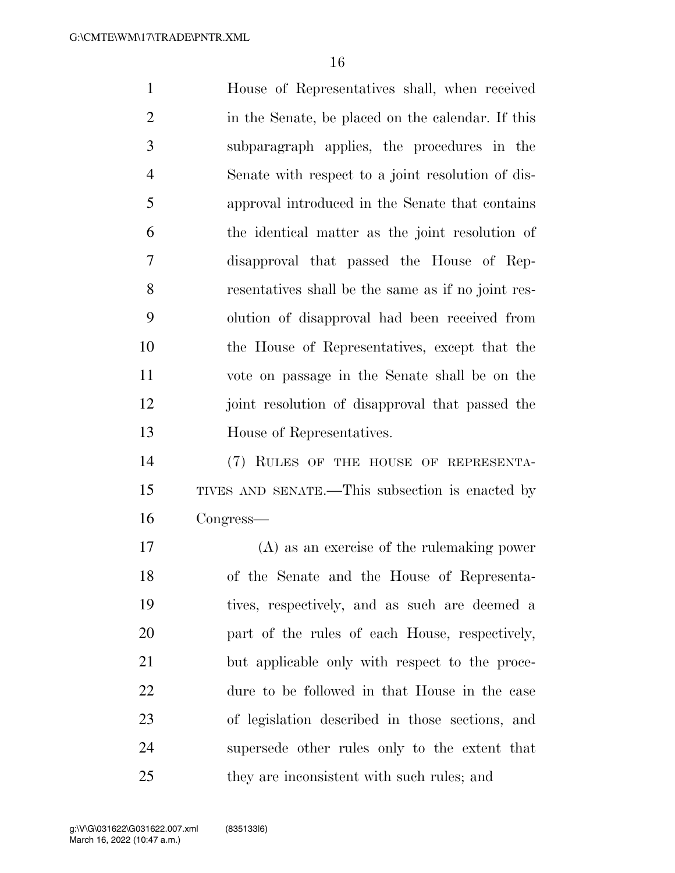House of Representatives shall, when received in the Senate, be placed on the calendar. If this subparagraph applies, the procedures in the Senate with respect to a joint resolution of dis- approval introduced in the Senate that contains the identical matter as the joint resolution of disapproval that passed the House of Rep- resentatives shall be the same as if no joint res- olution of disapproval had been received from the House of Representatives, except that the vote on passage in the Senate shall be on the joint resolution of disapproval that passed the House of Representatives. (7) RULES OF THE HOUSE OF REPRESENTA-TIVES AND SENATE.—This subsection is enacted by

Congress—

 (A) as an exercise of the rulemaking power of the Senate and the House of Representa- tives, respectively, and as such are deemed a part of the rules of each House, respectively, but applicable only with respect to the proce- dure to be followed in that House in the case of legislation described in those sections, and supersede other rules only to the extent that they are inconsistent with such rules; and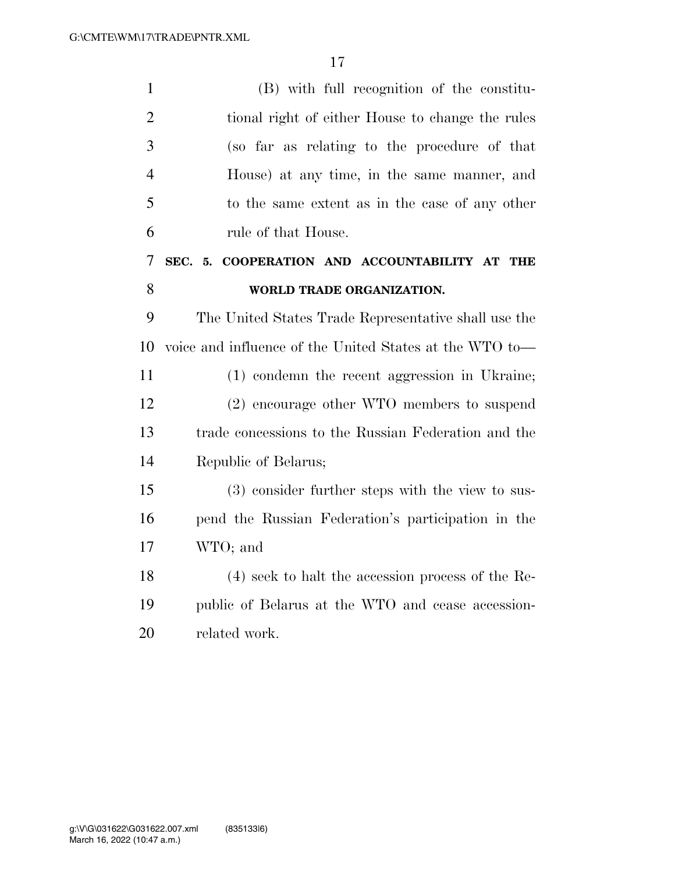| $\mathbf{1}$   | (B) with full recognition of the constitu-              |
|----------------|---------------------------------------------------------|
| $\overline{2}$ | tional right of either House to change the rules        |
| 3              | (so far as relating to the procedure of that            |
| $\overline{4}$ | House) at any time, in the same manner, and             |
| 5              | to the same extent as in the case of any other          |
| 6              | rule of that House.                                     |
| 7              | SEC. 5. COOPERATION AND ACCOUNTABILITY AT THE           |
| 8              | WORLD TRADE ORGANIZATION.                               |
| 9              | The United States Trade Representative shall use the    |
| 10             | voice and influence of the United States at the WTO to— |
| 11             | (1) condemn the recent aggression in Ukraine;           |
| 12             | (2) encourage other WTO members to suspend              |
| 13             | trade concessions to the Russian Federation and the     |
| 14             | Republic of Belarus;                                    |
| 15             | (3) consider further steps with the view to sus-        |
| 16             | pend the Russian Federation's participation in the      |
| 17             | WTO; and                                                |
| 18             | $(4)$ seek to halt the accession process of the Re-     |
| 19             | public of Belarus at the WTO and cease accession-       |
| 20             | related work.                                           |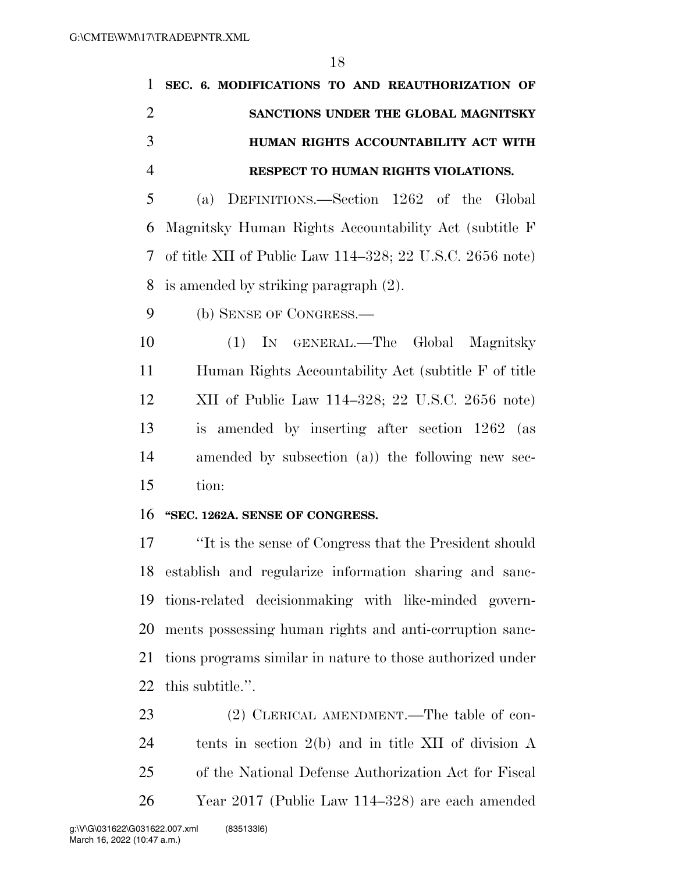|               | 1 SEC. 6. MODIFICATIONS TO AND REAUTHORIZATION OF |
|---------------|---------------------------------------------------|
|               | SANCTIONS UNDER THE GLOBAL MAGNITSKY              |
| $\mathcal{R}$ | HUMAN RIGHTS ACCOUNTABILITY ACT WITH              |
|               | RESPECT TO HUMAN RIGHTS VIOLATIONS.               |

 (a) DEFINITIONS.—Section 1262 of the Global Magnitsky Human Rights Accountability Act (subtitle F of title XII of Public Law 114–328; 22 U.S.C. 2656 note) is amended by striking paragraph (2).

(b) SENSE OF CONGRESS.—

 (1) IN GENERAL.—The Global Magnitsky Human Rights Accountability Act (subtitle F of title XII of Public Law 114–328; 22 U.S.C. 2656 note) is amended by inserting after section 1262 (as amended by subsection (a)) the following new sec-tion:

#### **''SEC. 1262A. SENSE OF CONGRESS.**

 ''It is the sense of Congress that the President should establish and regularize information sharing and sanc- tions-related decisionmaking with like-minded govern- ments possessing human rights and anti-corruption sanc- tions programs similar in nature to those authorized under this subtitle.''.

23 (2) CLERICAL AMENDMENT.—The table of con- tents in section 2(b) and in title XII of division A of the National Defense Authorization Act for Fiscal Year 2017 (Public Law 114–328) are each amended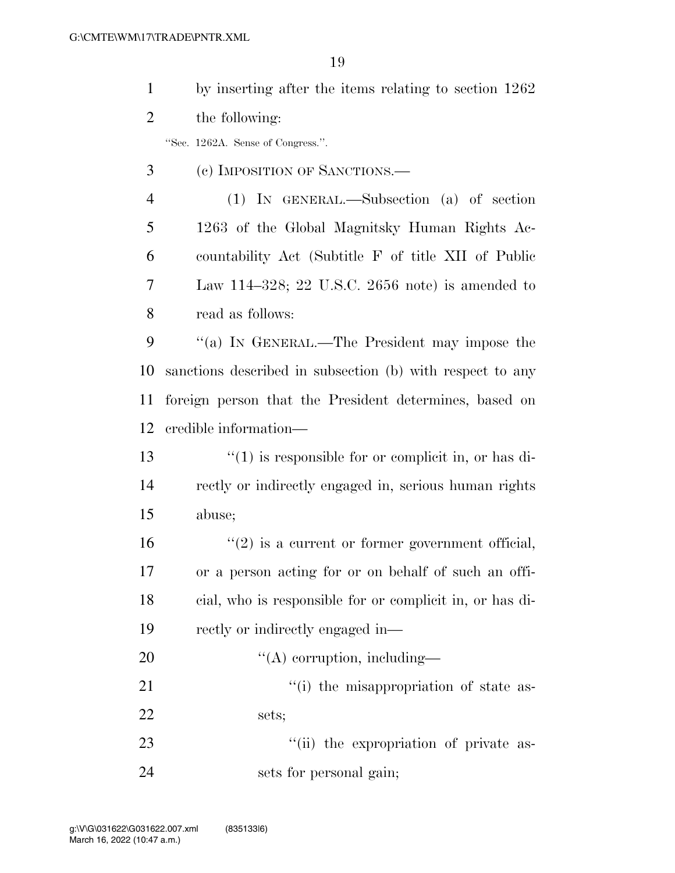| $\mathbf{1}$   | by inserting after the items relating to section 1262      |
|----------------|------------------------------------------------------------|
| $\overline{2}$ | the following:                                             |
|                | "Sec. 1262A. Sense of Congress.".                          |
| 3              | (c) IMPOSITION OF SANCTIONS.—                              |
| $\overline{4}$ | $(1)$ IN GENERAL.—Subsection $(a)$ of section              |
| 5              | 1263 of the Global Magnitsky Human Rights Ac-              |
| 6              | countability Act (Subtitle F of title XII of Public        |
| 7              | Law 114–328; 22 U.S.C. 2656 note) is amended to            |
| 8              | read as follows:                                           |
| 9              | "(a) IN GENERAL.—The President may impose the              |
| 10             | sanctions described in subsection (b) with respect to any  |
| 11             | foreign person that the President determines, based on     |
| 12             | credible information—                                      |
| 13             | $\cdot$ (1) is responsible for or complicit in, or has di- |
| 14             | rectly or indirectly engaged in, serious human rights      |
| 15             | abuse;                                                     |
| 16             | $\lq(2)$ is a current or former government official,       |
| 17             | or a person acting for or on behalf of such an offi-       |
| 18             | cial, who is responsible for or complicit in, or has di-   |
| 19             | rectly or indirectly engaged in—                           |
| 20             | $\lq\lq$ corruption, including—                            |
| 21             | "(i) the misappropriation of state as-                     |
| 22             | sets;                                                      |
| 23             | "(ii) the expropriation of private as-                     |
| 24             | sets for personal gain;                                    |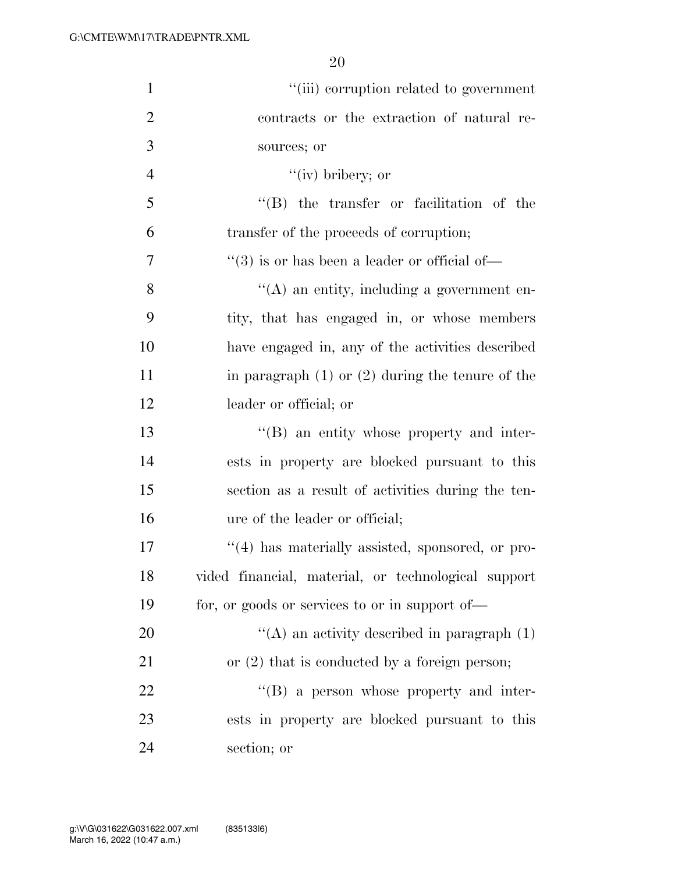| $\mathbf{1}$   | "(iii) corruption related to government              |
|----------------|------------------------------------------------------|
| $\overline{2}$ | contracts or the extraction of natural re-           |
| 3              | sources; or                                          |
| $\overline{4}$ | $``(iv)$ bribery; or                                 |
| 5              | $\lq\lq$ the transfer or facilitation of the         |
| 6              | transfer of the proceeds of corruption;              |
| $\overline{7}$ | $``(3)$ is or has been a leader or official of-      |
| 8              | $\lq\lq$ an entity, including a government en-       |
| 9              | tity, that has engaged in, or whose members          |
| 10             | have engaged in, any of the activities described     |
| 11             | in paragraph $(1)$ or $(2)$ during the tenure of the |
| 12             | leader or official; or                               |
| 13             | $\lq\lq (B)$ an entity whose property and inter-     |
| 14             | ests in property are blocked pursuant to this        |
| 15             | section as a result of activities during the ten-    |
| 16             | ure of the leader or official;                       |
| 17             | $\lq(4)$ has materially assisted, sponsored, or pro- |
| 18             | vided financial, material, or technological support  |
| 19             | for, or goods or services to or in support of—       |
| 20             | "(A) an activity described in paragraph $(1)$        |
| 21             | or $(2)$ that is conducted by a foreign person;      |
| 22             | $\lq\lq (B)$ a person whose property and inter-      |
| 23             | ests in property are blocked pursuant to this        |
| 24             | section; or                                          |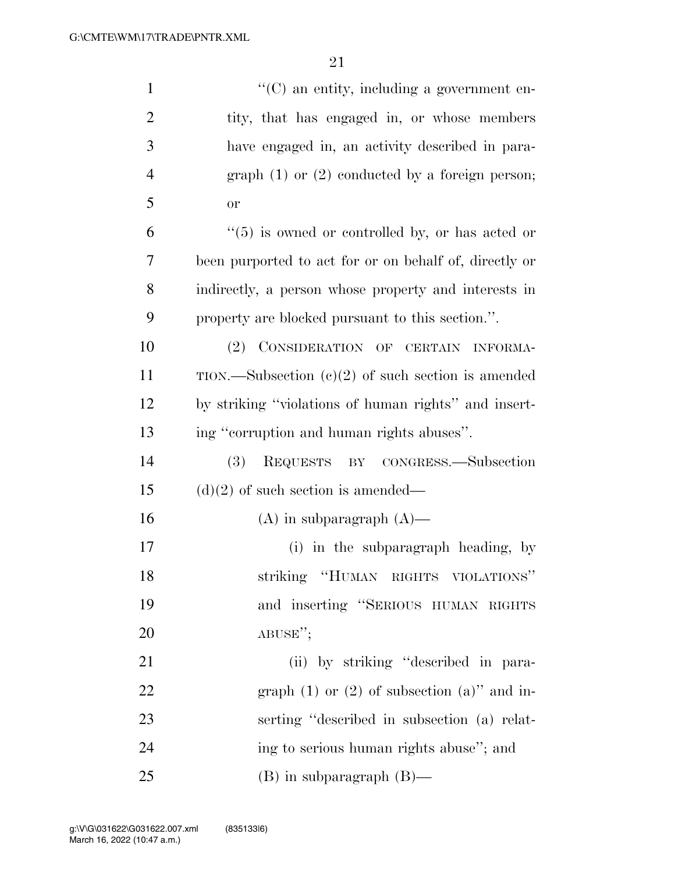| $\mathbf{1}$   | $\lq\lq$ (C) an entity, including a government en-     |
|----------------|--------------------------------------------------------|
| $\overline{2}$ | tity, that has engaged in, or whose members            |
| 3              | have engaged in, an activity described in para-        |
| $\overline{4}$ | graph $(1)$ or $(2)$ conducted by a foreign person;    |
| 5              | or                                                     |
| 6              | $``(5)$ is owned or controlled by, or has acted or     |
| 7              | been purported to act for or on behalf of, directly or |
| 8              | indirectly, a person whose property and interests in   |
| 9              | property are blocked pursuant to this section.".       |
| 10             | (2) CONSIDERATION OF CERTAIN INFORMA-                  |
| 11             | TION.—Subsection $(c)(2)$ of such section is amended   |
| 12             | by striking "violations of human rights" and insert-   |
| 13             | ing "corruption and human rights abuses".              |
| 14             | REQUESTS BY CONGRESS.—Subsection<br><b>(3)</b>         |
| 15             | $(d)(2)$ of such section is amended—                   |
| 16             | $(A)$ in subparagraph $(A)$ —                          |
| 17             | (i) in the subparagraph heading, by                    |
| 18             | striking "HUMAN RIGHTS VIOLATIONS"                     |
| 19             | and inserting "SERIOUS HUMAN RIGHTS                    |
| 20             | $ABUSE''$ ;                                            |
| 21             | (ii) by striking "described in para-                   |
| 22             | graph $(1)$ or $(2)$ of subsection $(a)$ " and in-     |
| 23             | serting "described in subsection (a) relat-            |
| 24             | ing to serious human rights abuse"; and                |
| 25             | $(B)$ in subparagraph $(B)$ —                          |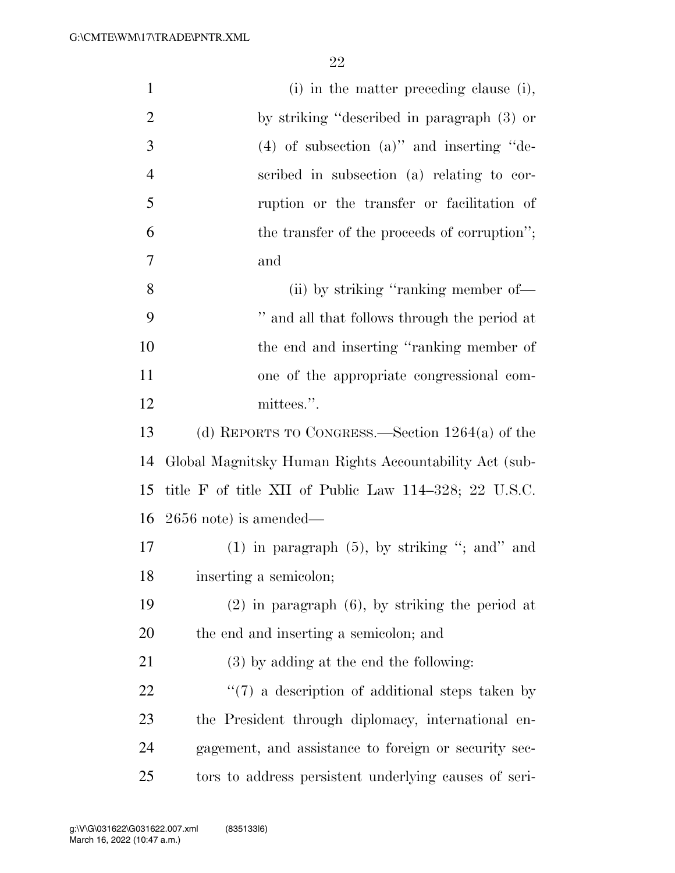| $\mathbf{1}$   | (i) in the matter preceding clause (i),                |
|----------------|--------------------------------------------------------|
| $\overline{2}$ | by striking "described in paragraph (3) or             |
| 3              | $(4)$ of subsection $(a)$ " and inserting "de-         |
| $\overline{4}$ | scribed in subsection (a) relating to cor-             |
| 5              | ruption or the transfer or facilitation of             |
| 6              | the transfer of the proceeds of corruption";           |
| 7              | and                                                    |
| 8              | (ii) by striking "ranking member of—                   |
| 9              | " and all that follows through the period at           |
| 10             | the end and inserting "ranking member of               |
| 11             | one of the appropriate congressional com-              |
| 12             | mittees.".                                             |
| 13             | (d) REPORTS TO CONGRESS.—Section $1264(a)$ of the      |
| 14             | Global Magnitsky Human Rights Accountability Act (sub- |
| 15             | title F of title XII of Public Law 114–328; 22 U.S.C.  |
| 16             | $2656$ note) is amended—                               |
| 17             | $(1)$ in paragraph $(5)$ , by striking "; and" and     |
| 18             | inserting a semicolon;                                 |
| 19             | $(2)$ in paragraph $(6)$ , by striking the period at   |
| 20             | the end and inserting a semicolon; and                 |
| 21             | $(3)$ by adding at the end the following:              |
| 22             | $\lq(7)$ a description of additional steps taken by    |
| 23             | the President through diplomacy, international en-     |
| 24             | gagement, and assistance to foreign or security sec-   |
| 25             | tors to address persistent underlying causes of seri-  |